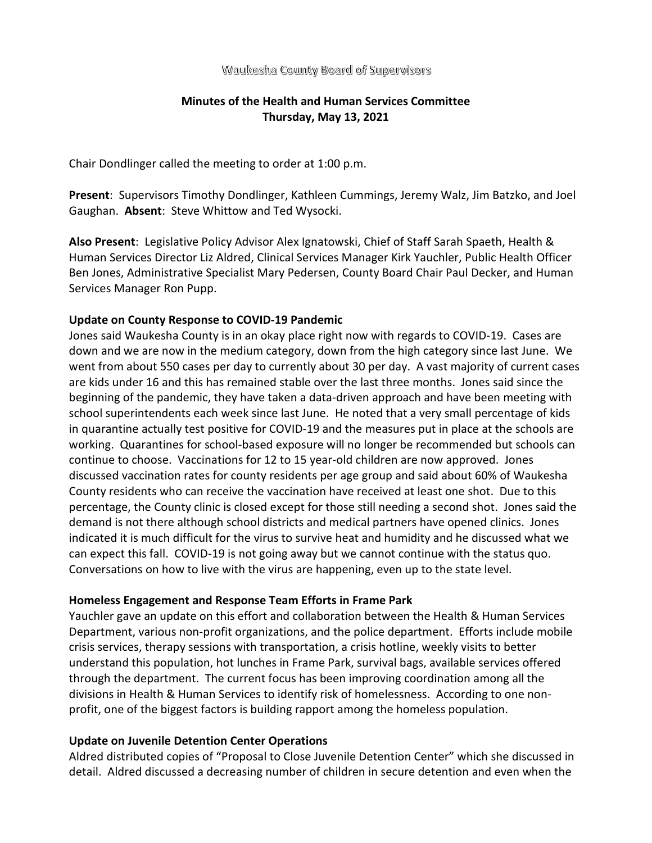### Waukesha County Board of Supervisors

# **Minutes of the Health and Human Services Committee Thursday, May 13, 2021**

Chair Dondlinger called the meeting to order at 1:00 p.m.

**Present**: Supervisors Timothy Dondlinger, Kathleen Cummings, Jeremy Walz, Jim Batzko, and Joel Gaughan. **Absent**: Steve Whittow and Ted Wysocki.

**Also Present**: Legislative Policy Advisor Alex Ignatowski, Chief of Staff Sarah Spaeth, Health & Human Services Director Liz Aldred, Clinical Services Manager Kirk Yauchler, Public Health Officer Ben Jones, Administrative Specialist Mary Pedersen, County Board Chair Paul Decker, and Human Services Manager Ron Pupp.

### **Update on County Response to COVID-19 Pandemic**

Jones said Waukesha County is in an okay place right now with regards to COVID-19. Cases are down and we are now in the medium category, down from the high category since last June. We went from about 550 cases per day to currently about 30 per day. A vast majority of current cases are kids under 16 and this has remained stable over the last three months. Jones said since the beginning of the pandemic, they have taken a data-driven approach and have been meeting with school superintendents each week since last June. He noted that a very small percentage of kids in quarantine actually test positive for COVID-19 and the measures put in place at the schools are working. Quarantines for school-based exposure will no longer be recommended but schools can continue to choose. Vaccinations for 12 to 15 year-old children are now approved. Jones discussed vaccination rates for county residents per age group and said about 60% of Waukesha County residents who can receive the vaccination have received at least one shot. Due to this percentage, the County clinic is closed except for those still needing a second shot. Jones said the demand is not there although school districts and medical partners have opened clinics. Jones indicated it is much difficult for the virus to survive heat and humidity and he discussed what we can expect this fall. COVID-19 is not going away but we cannot continue with the status quo. Conversations on how to live with the virus are happening, even up to the state level.

### **Homeless Engagement and Response Team Efforts in Frame Park**

Yauchler gave an update on this effort and collaboration between the Health & Human Services Department, various non-profit organizations, and the police department. Efforts include mobile crisis services, therapy sessions with transportation, a crisis hotline, weekly visits to better understand this population, hot lunches in Frame Park, survival bags, available services offered through the department. The current focus has been improving coordination among all the divisions in Health & Human Services to identify risk of homelessness. According to one nonprofit, one of the biggest factors is building rapport among the homeless population.

#### **Update on Juvenile Detention Center Operations**

Aldred distributed copies of "Proposal to Close Juvenile Detention Center" which she discussed in detail. Aldred discussed a decreasing number of children in secure detention and even when the